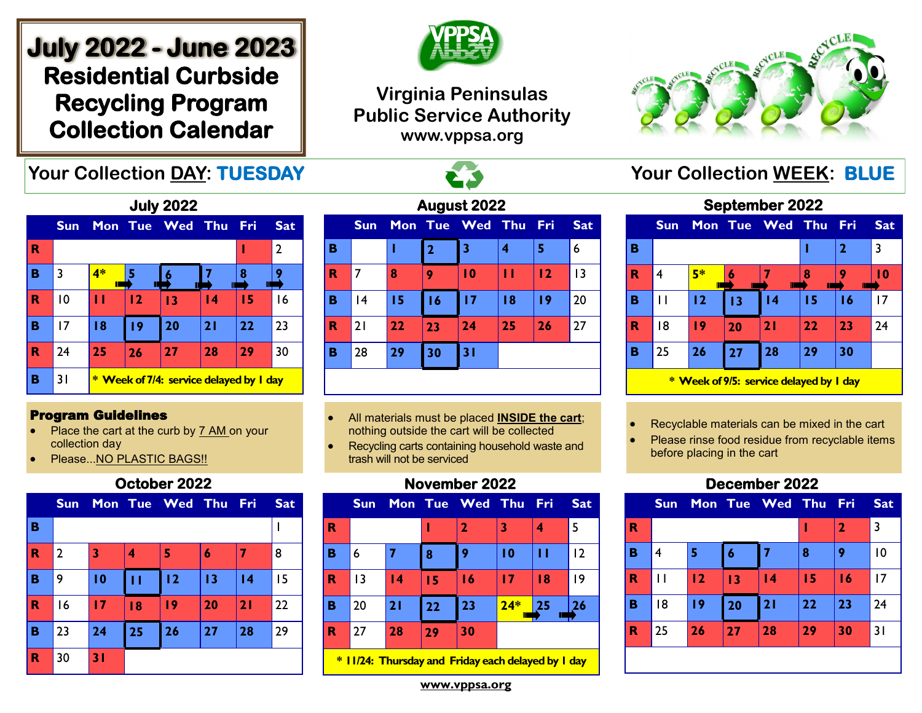# **July 2022 - June 2023 Residential Curbside Recycling Program Collection Calendar**

## **Your Collection DAY: TUESDAY THE READING A STARBOOT COLLECTION WEEK: BLUE**



## **Virginia Peninsulas Public Service Authority www.vppsa.org**



**September 2022** 



#### Program Guidelines

- Place the cart at the curb by 7 AM on your collection day
- Please...NO PLASTIC BAGS!!

#### **October 2022**

|             | <b>Sun</b>     |    |    | Mon Tue Wed Thu |    | <b>Fri</b> | <b>Sat</b> |
|-------------|----------------|----|----|-----------------|----|------------|------------|
| B           |                |    |    |                 |    |            |            |
| $\mathbf R$ | $\overline{2}$ | 3  | 4  | 5               | 6  | 7          | 8          |
| B           | 9              | 10 | п  | 12              | 13 | 4          | 15         |
| $\mathbf R$ | 16             | 17 | 18 | 19              | 20 | 21         | 22         |
| B           | 23             | 24 | 25 | 26              | 27 | 28         | 29         |
| $\mathbf R$ | 30             | 31 |    |                 |    |            |            |

| August 2022 |                |    |                |                 |    |       |            |
|-------------|----------------|----|----------------|-----------------|----|-------|------------|
|             | <b>Sun</b>     |    |                | Mon Tue Wed Thu |    | - Fri | <b>Sat</b> |
| в           |                |    | $\overline{2}$ | 3               | 4  | 5     | 6          |
| R           | $\overline{7}$ | 8  | 9              | $\overline{10}$ | п  | 12    | 13         |
| в           | 4              | 15 | 16             | 17              | 18 | 19    | 20         |
| R           | 21             | 22 | 23             | 24              | 25 | 26    | 27         |
| в           | 28             | 29 | 30             | 31              |    |       |            |
|             |                |    |                |                 |    |       |            |

- All materials must be placed **INSIDE the cart**; nothing outside the cart will be collected
- Recycling carts containing household waste and trash will not be serviced

#### **November 2022**



**\* 11/24: Thursday and Friday each delayed by 1 day**

|   | Septemper 2022 |         |    |                     |    |              |            |
|---|----------------|---------|----|---------------------|----|--------------|------------|
|   | <b>Sun</b>     |         |    | Mon Tue Wed Thu Fri |    |              | <b>Sat</b> |
| в |                |         |    |                     |    | $\mathbf{2}$ | 3          |
| R |                | 5*<br>П |    |                     |    |              | l 0        |
| B |                | 12      | 13 | $\overline{14}$     | 15 | 16           | 17         |
| R | 18             | 19      | 20 | 21                  | 22 | 23           | 74         |

**\* Week of 9/5: service delayed by 1 day** 

**B** 25 **26 27 28 29 30**

- Recyclable materials can be mixed in the cart
- Please rinse food residue from recyclable items before placing in the cart

## **December 2022**



**www.vppsa.org**